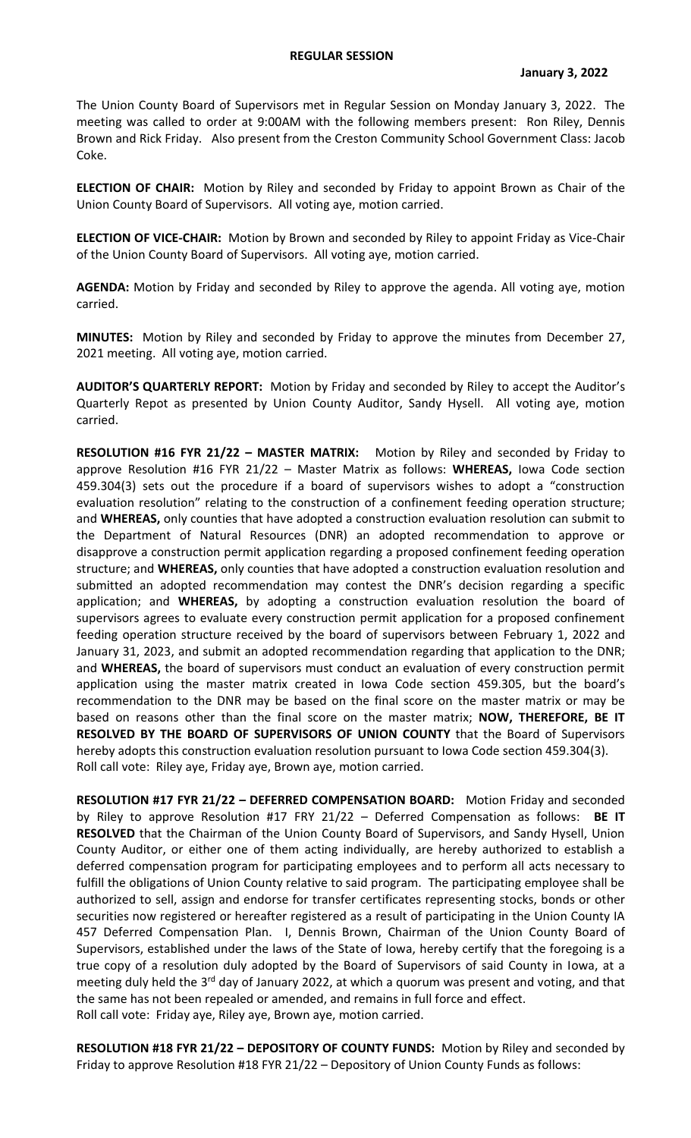The Union County Board of Supervisors met in Regular Session on Monday January 3, 2022. The meeting was called to order at 9:00AM with the following members present: Ron Riley, Dennis Brown and Rick Friday. Also present from the Creston Community School Government Class: Jacob Coke.

**ELECTION OF CHAIR:** Motion by Riley and seconded by Friday to appoint Brown as Chair of the Union County Board of Supervisors. All voting aye, motion carried.

**ELECTION OF VICE-CHAIR:** Motion by Brown and seconded by Riley to appoint Friday as Vice-Chair of the Union County Board of Supervisors. All voting aye, motion carried.

**AGENDA:** Motion by Friday and seconded by Riley to approve the agenda. All voting aye, motion carried.

**MINUTES:** Motion by Riley and seconded by Friday to approve the minutes from December 27, 2021 meeting. All voting aye, motion carried.

**AUDITOR'S QUARTERLY REPORT:** Motion by Friday and seconded by Riley to accept the Auditor's Quarterly Repot as presented by Union County Auditor, Sandy Hysell. All voting aye, motion carried.

**RESOLUTION #16 FYR 21/22 – MASTER MATRIX:** Motion by Riley and seconded by Friday to approve Resolution #16 FYR 21/22 – Master Matrix as follows: **WHEREAS,** Iowa Code section 459.304(3) sets out the procedure if a board of supervisors wishes to adopt a "construction evaluation resolution" relating to the construction of a confinement feeding operation structure; and **WHEREAS,** only counties that have adopted a construction evaluation resolution can submit to the Department of Natural Resources (DNR) an adopted recommendation to approve or disapprove a construction permit application regarding a proposed confinement feeding operation structure; and **WHEREAS,** only counties that have adopted a construction evaluation resolution and submitted an adopted recommendation may contest the DNR's decision regarding a specific application; and **WHEREAS,** by adopting a construction evaluation resolution the board of supervisors agrees to evaluate every construction permit application for a proposed confinement feeding operation structure received by the board of supervisors between February 1, 2022 and January 31, 2023, and submit an adopted recommendation regarding that application to the DNR; and **WHEREAS,** the board of supervisors must conduct an evaluation of every construction permit application using the master matrix created in Iowa Code section 459.305, but the board's recommendation to the DNR may be based on the final score on the master matrix or may be based on reasons other than the final score on the master matrix; **NOW, THEREFORE, BE IT RESOLVED BY THE BOARD OF SUPERVISORS OF UNION COUNTY** that the Board of Supervisors hereby adopts this construction evaluation resolution pursuant to Iowa Code section 459.304(3). Roll call vote: Riley aye, Friday aye, Brown aye, motion carried.

**RESOLUTION #17 FYR 21/22 – DEFERRED COMPENSATION BOARD:** Motion Friday and seconded by Riley to approve Resolution #17 FRY 21/22 – Deferred Compensation as follows: **BE IT RESOLVED** that the Chairman of the Union County Board of Supervisors, and Sandy Hysell, Union County Auditor, or either one of them acting individually, are hereby authorized to establish a deferred compensation program for participating employees and to perform all acts necessary to fulfill the obligations of Union County relative to said program. The participating employee shall be authorized to sell, assign and endorse for transfer certificates representing stocks, bonds or other securities now registered or hereafter registered as a result of participating in the Union County IA 457 Deferred Compensation Plan. I, Dennis Brown, Chairman of the Union County Board of Supervisors, established under the laws of the State of Iowa, hereby certify that the foregoing is a true copy of a resolution duly adopted by the Board of Supervisors of said County in Iowa, at a meeting duly held the 3<sup>rd</sup> day of January 2022, at which a quorum was present and voting, and that the same has not been repealed or amended, and remains in full force and effect. Roll call vote: Friday aye, Riley aye, Brown aye, motion carried.

**RESOLUTION #18 FYR 21/22 – DEPOSITORY OF COUNTY FUNDS:** Motion by Riley and seconded by Friday to approve Resolution #18 FYR 21/22 – Depository of Union County Funds as follows: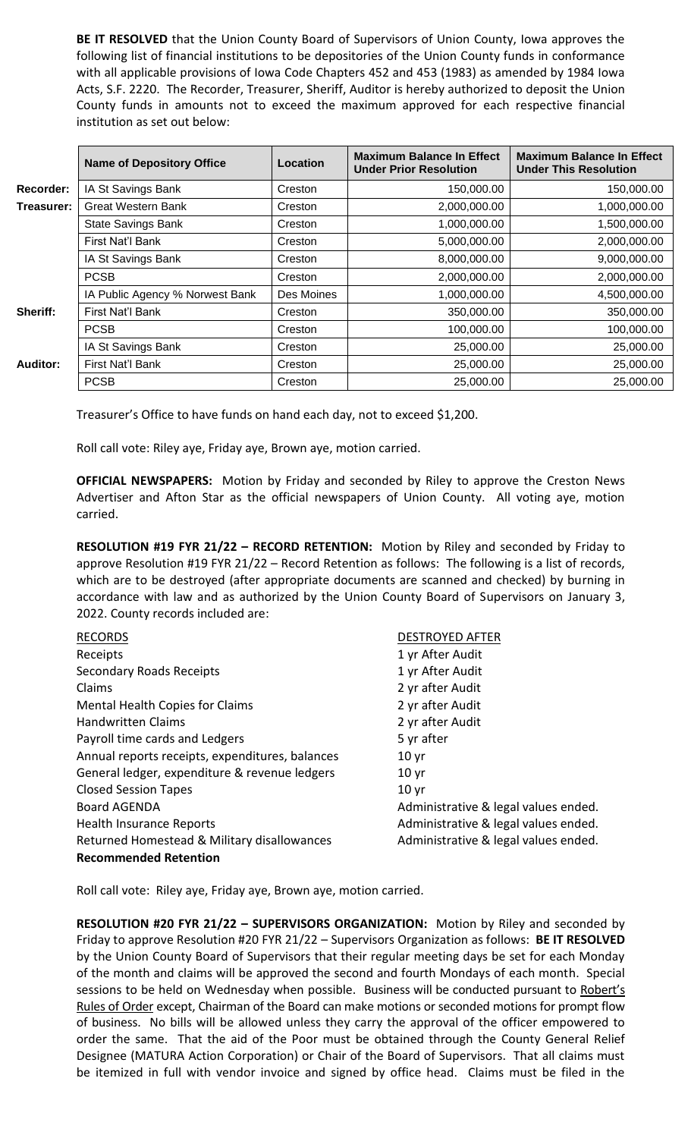**BE IT RESOLVED** that the Union County Board of Supervisors of Union County, Iowa approves the following list of financial institutions to be depositories of the Union County funds in conformance with all applicable provisions of Iowa Code Chapters 452 and 453 (1983) as amended by 1984 Iowa Acts, S.F. 2220. The Recorder, Treasurer, Sheriff, Auditor is hereby authorized to deposit the Union County funds in amounts not to exceed the maximum approved for each respective financial institution as set out below:

|            | <b>Name of Depository Office</b> | Location   | <b>Maximum Balance In Effect</b><br><b>Under Prior Resolution</b> | <b>Maximum Balance In Effect</b><br><b>Under This Resolution</b> |
|------------|----------------------------------|------------|-------------------------------------------------------------------|------------------------------------------------------------------|
| Recorder:  | IA St Savings Bank               | Creston    | 150,000.00                                                        | 150,000.00                                                       |
| Treasurer: | <b>Great Western Bank</b>        | Creston    | 2,000,000.00                                                      | 1,000,000.00                                                     |
|            | <b>State Savings Bank</b>        | Creston    | 1,000,000.00                                                      | 1,500,000.00                                                     |
|            | First Nat'l Bank                 | Creston    | 5,000,000.00                                                      | 2,000,000.00                                                     |
|            | IA St Savings Bank               | Creston    | 8,000,000.00                                                      | 9,000,000.00                                                     |
|            | <b>PCSB</b>                      | Creston    | 2,000,000.00                                                      | 2,000,000.00                                                     |
|            | IA Public Agency % Norwest Bank  | Des Moines | 1,000,000.00                                                      | 4,500,000.00                                                     |
| Sheriff:   | First Nat'l Bank                 | Creston    | 350,000.00                                                        | 350,000.00                                                       |
|            | <b>PCSB</b>                      | Creston    | 100,000.00                                                        | 100,000.00                                                       |
|            | IA St Savings Bank               | Creston    | 25,000.00                                                         | 25,000.00                                                        |
| Auditor:   | First Nat'l Bank                 | Creston    | 25,000.00                                                         | 25,000.00                                                        |
|            | <b>PCSB</b>                      | Creston    | 25,000.00                                                         | 25,000.00                                                        |

Treasurer's Office to have funds on hand each day, not to exceed \$1,200.

Roll call vote: Riley aye, Friday aye, Brown aye, motion carried.

**OFFICIAL NEWSPAPERS:** Motion by Friday and seconded by Riley to approve the Creston News Advertiser and Afton Star as the official newspapers of Union County. All voting aye, motion carried.

**RESOLUTION #19 FYR 21/22 – RECORD RETENTION:** Motion by Riley and seconded by Friday to approve Resolution #19 FYR 21/22 – Record Retention as follows: The following is a list of records, which are to be destroyed (after appropriate documents are scanned and checked) by burning in accordance with law and as authorized by the Union County Board of Supervisors on January 3, 2022. County records included are:

| <b>RECORDS</b>                                  | <b>DESTROYED AFTER</b>               |
|-------------------------------------------------|--------------------------------------|
| Receipts                                        | 1 yr After Audit                     |
| <b>Secondary Roads Receipts</b>                 | 1 yr After Audit                     |
| Claims                                          | 2 yr after Audit                     |
| <b>Mental Health Copies for Claims</b>          | 2 yr after Audit                     |
| <b>Handwritten Claims</b>                       | 2 yr after Audit                     |
| Payroll time cards and Ledgers                  | 5 yr after                           |
| Annual reports receipts, expenditures, balances | 10 <sub>yr</sub>                     |
| General ledger, expenditure & revenue ledgers   | 10 <sub>yr</sub>                     |
| <b>Closed Session Tapes</b>                     | 10 <sub>yr</sub>                     |
| <b>Board AGENDA</b>                             | Administrative & legal values ended. |
| Health Insurance Reports                        | Administrative & legal values ended. |
| Returned Homestead & Military disallowances     | Administrative & legal values ended. |
| <b>Recommended Retention</b>                    |                                      |

Roll call vote: Riley aye, Friday aye, Brown aye, motion carried.

**RESOLUTION #20 FYR 21/22 – SUPERVISORS ORGANIZATION:** Motion by Riley and seconded by Friday to approve Resolution #20 FYR 21/22 – Supervisors Organization as follows: **BE IT RESOLVED**  by the Union County Board of Supervisors that their regular meeting days be set for each Monday of the month and claims will be approved the second and fourth Mondays of each month. Special sessions to be held on Wednesday when possible. Business will be conducted pursuant to Robert's Rules of Order except, Chairman of the Board can make motions or seconded motions for prompt flow of business. No bills will be allowed unless they carry the approval of the officer empowered to order the same. That the aid of the Poor must be obtained through the County General Relief Designee (MATURA Action Corporation) or Chair of the Board of Supervisors. That all claims must be itemized in full with vendor invoice and signed by office head. Claims must be filed in the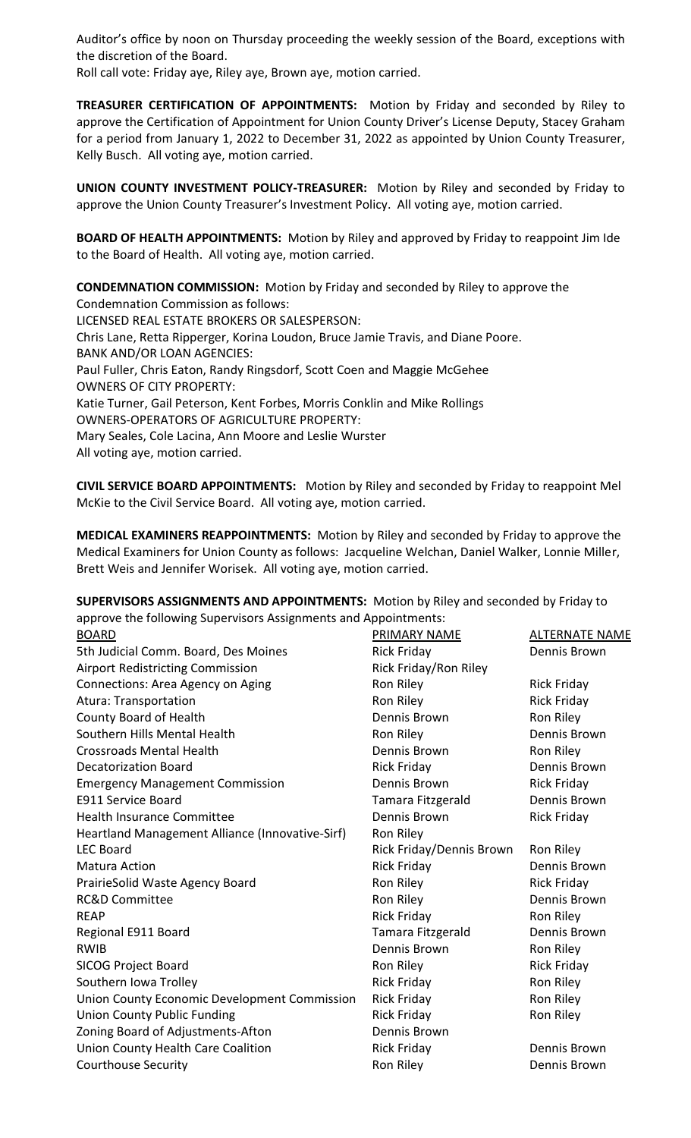Auditor's office by noon on Thursday proceeding the weekly session of the Board, exceptions with the discretion of the Board.

Roll call vote: Friday aye, Riley aye, Brown aye, motion carried.

**TREASURER CERTIFICATION OF APPOINTMENTS:** Motion by Friday and seconded by Riley to approve the Certification of Appointment for Union County Driver's License Deputy, Stacey Graham for a period from January 1, 2022 to December 31, 2022 as appointed by Union County Treasurer, Kelly Busch. All voting aye, motion carried.

**UNION COUNTY INVESTMENT POLICY-TREASURER:** Motion by Riley and seconded by Friday to approve the Union County Treasurer's Investment Policy. All voting aye, motion carried.

**BOARD OF HEALTH APPOINTMENTS:** Motion by Riley and approved by Friday to reappoint Jim Ide to the Board of Health. All voting aye, motion carried.

**CONDEMNATION COMMISSION:** Motion by Friday and seconded by Riley to approve the Condemnation Commission as follows: LICENSED REAL ESTATE BROKERS OR SALESPERSON: Chris Lane, Retta Ripperger, Korina Loudon, Bruce Jamie Travis, and Diane Poore. BANK AND/OR LOAN AGENCIES: Paul Fuller, Chris Eaton, Randy Ringsdorf, Scott Coen and Maggie McGehee OWNERS OF CITY PROPERTY: Katie Turner, Gail Peterson, Kent Forbes, Morris Conklin and Mike Rollings OWNERS-OPERATORS OF AGRICULTURE PROPERTY: Mary Seales, Cole Lacina, Ann Moore and Leslie Wurster All voting aye, motion carried.

**CIVIL SERVICE BOARD APPOINTMENTS:** Motion by Riley and seconded by Friday to reappoint Mel McKie to the Civil Service Board. All voting aye, motion carried.

**MEDICAL EXAMINERS REAPPOINTMENTS:** Motion by Riley and seconded by Friday to approve the Medical Examiners for Union County as follows: Jacqueline Welchan, Daniel Walker, Lonnie Miller, Brett Weis and Jennifer Worisek. All voting aye, motion carried.

**SUPERVISORS ASSIGNMENTS AND APPOINTMENTS:** Motion by Riley and seconded by Friday to approve the following Supervisors Assignments and Appointments:

| <b>BOARD</b>                                    | PRIMARY NAME             | <b>ALTERNATE NAME</b> |
|-------------------------------------------------|--------------------------|-----------------------|
| 5th Judicial Comm. Board, Des Moines            | <b>Rick Friday</b>       | Dennis Brown          |
| <b>Airport Redistricting Commission</b>         | Rick Friday/Ron Riley    |                       |
| Connections: Area Agency on Aging               | Ron Riley                | <b>Rick Friday</b>    |
| Atura: Transportation                           | Ron Riley                | <b>Rick Friday</b>    |
| County Board of Health                          | Dennis Brown             | Ron Riley             |
| Southern Hills Mental Health                    | Ron Riley                | Dennis Brown          |
| <b>Crossroads Mental Health</b>                 | Dennis Brown             | Ron Riley             |
| <b>Decatorization Board</b>                     | <b>Rick Friday</b>       | Dennis Brown          |
| <b>Emergency Management Commission</b>          | Dennis Brown             | <b>Rick Friday</b>    |
| <b>E911 Service Board</b>                       | Tamara Fitzgerald        | Dennis Brown          |
| <b>Health Insurance Committee</b>               | Dennis Brown             | <b>Rick Friday</b>    |
| Heartland Management Alliance (Innovative-Sirf) | Ron Riley                |                       |
| <b>LEC Board</b>                                | Rick Friday/Dennis Brown | Ron Riley             |
| Matura Action                                   | <b>Rick Friday</b>       | Dennis Brown          |
| PrairieSolid Waste Agency Board                 | Ron Riley                | <b>Rick Friday</b>    |
| <b>RC&amp;D Committee</b>                       | Ron Riley                | Dennis Brown          |
| <b>REAP</b>                                     | <b>Rick Friday</b>       | Ron Riley             |
| Regional E911 Board                             | Tamara Fitzgerald        | Dennis Brown          |
| <b>RWIB</b>                                     | Dennis Brown             | Ron Riley             |
| <b>SICOG Project Board</b>                      | Ron Riley                | <b>Rick Friday</b>    |
| Southern Iowa Trolley                           | <b>Rick Friday</b>       | Ron Riley             |
| Union County Economic Development Commission    | <b>Rick Friday</b>       | Ron Riley             |
| <b>Union County Public Funding</b>              | <b>Rick Friday</b>       | Ron Riley             |
| Zoning Board of Adjustments-Afton               | Dennis Brown             |                       |
| Union County Health Care Coalition              | <b>Rick Friday</b>       | Dennis Brown          |
| <b>Courthouse Security</b>                      | Ron Riley                | Dennis Brown          |
|                                                 |                          |                       |